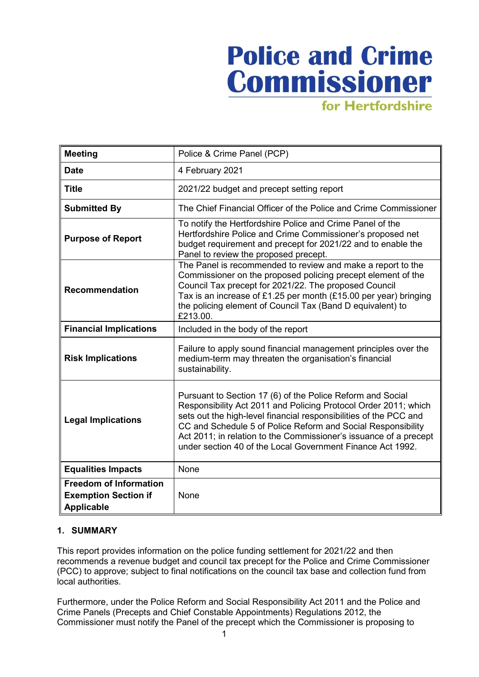# **Police and Crime Commissioner**

for Hertfordshire

| <b>Meeting</b>                                                                    | Police & Crime Panel (PCP)                                                                                                                                                                                                                                                                                                                                                                            |
|-----------------------------------------------------------------------------------|-------------------------------------------------------------------------------------------------------------------------------------------------------------------------------------------------------------------------------------------------------------------------------------------------------------------------------------------------------------------------------------------------------|
| <b>Date</b>                                                                       | 4 February 2021                                                                                                                                                                                                                                                                                                                                                                                       |
| <b>Title</b>                                                                      | 2021/22 budget and precept setting report                                                                                                                                                                                                                                                                                                                                                             |
| <b>Submitted By</b>                                                               | The Chief Financial Officer of the Police and Crime Commissioner                                                                                                                                                                                                                                                                                                                                      |
| <b>Purpose of Report</b>                                                          | To notify the Hertfordshire Police and Crime Panel of the<br>Hertfordshire Police and Crime Commissioner's proposed net<br>budget requirement and precept for 2021/22 and to enable the<br>Panel to review the proposed precept.                                                                                                                                                                      |
| <b>Recommendation</b>                                                             | The Panel is recommended to review and make a report to the<br>Commissioner on the proposed policing precept element of the<br>Council Tax precept for 2021/22. The proposed Council<br>Tax is an increase of £1.25 per month (£15.00 per year) bringing<br>the policing element of Council Tax (Band D equivalent) to<br>£213.00.                                                                    |
| <b>Financial Implications</b>                                                     | Included in the body of the report                                                                                                                                                                                                                                                                                                                                                                    |
| <b>Risk Implications</b>                                                          | Failure to apply sound financial management principles over the<br>medium-term may threaten the organisation's financial<br>sustainability.                                                                                                                                                                                                                                                           |
| <b>Legal Implications</b>                                                         | Pursuant to Section 17 (6) of the Police Reform and Social<br>Responsibility Act 2011 and Policing Protocol Order 2011; which<br>sets out the high-level financial responsibilities of the PCC and<br>CC and Schedule 5 of Police Reform and Social Responsibility<br>Act 2011; in relation to the Commissioner's issuance of a precept<br>under section 40 of the Local Government Finance Act 1992. |
| <b>Equalities Impacts</b>                                                         | None                                                                                                                                                                                                                                                                                                                                                                                                  |
| <b>Freedom of Information</b><br><b>Exemption Section if</b><br><b>Applicable</b> | None                                                                                                                                                                                                                                                                                                                                                                                                  |

# **1. SUMMARY**

This report provides information on the police funding settlement for 2021/22 and then recommends a revenue budget and council tax precept for the Police and Crime Commissioner (PCC) to approve; subject to final notifications on the council tax base and collection fund from local authorities.

Furthermore, under the Police Reform and Social Responsibility Act 2011 and the Police and Crime Panels (Precepts and Chief Constable Appointments) Regulations 2012, the Commissioner must notify the Panel of the precept which the Commissioner is proposing to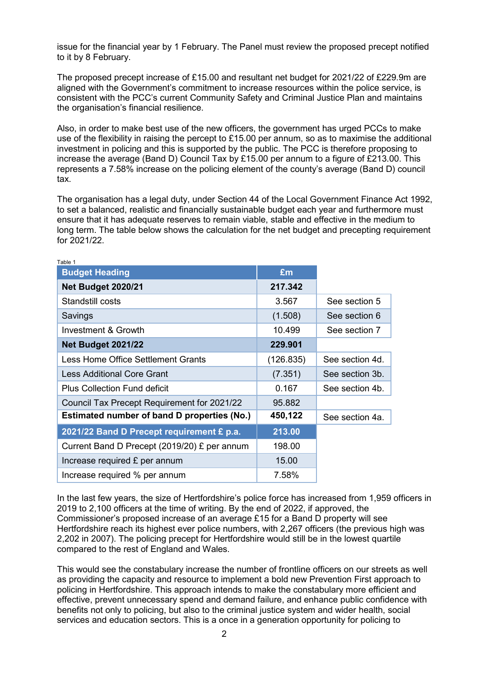issue for the financial year by 1 February. The Panel must review the proposed precept notified to it by 8 February.

The proposed precept increase of £15.00 and resultant net budget for 2021/22 of £229.9m are aligned with the Government's commitment to increase resources within the police service, is consistent with the PCC's current Community Safety and Criminal Justice Plan and maintains the organisation's financial resilience.

Also, in order to make best use of the new officers, the government has urged PCCs to make use of the flexibility in raising the percept to £15.00 per annum, so as to maximise the additional investment in policing and this is supported by the public. The PCC is therefore proposing to increase the average (Band D) Council Tax by £15.00 per annum to a figure of £213.00. This represents a 7.58% increase on the policing element of the county's average (Band D) council tax.

The organisation has a legal duty, under Section 44 of the Local Government Finance Act 1992, to set a balanced, realistic and financially sustainable budget each year and furthermore must ensure that it has adequate reserves to remain viable, stable and effective in the medium to long term. The table below shows the calculation for the net budget and precepting requirement for 2021/22.

| Table 1                                      |           |                 |
|----------------------------------------------|-----------|-----------------|
| <b>Budget Heading</b>                        | £m        |                 |
| <b>Net Budget 2020/21</b>                    | 217.342   |                 |
| Standstill costs                             | 3.567     | See section 5   |
| Savings                                      | (1.508)   | See section 6   |
| Investment & Growth                          | 10.499    | See section 7   |
| <b>Net Budget 2021/22</b>                    | 229.901   |                 |
| <b>Less Home Office Settlement Grants</b>    | (126.835) | See section 4d. |
| <b>Less Additional Core Grant</b>            | (7.351)   | See section 3b. |
| <b>Plus Collection Fund deficit</b>          | 0.167     | See section 4b. |
| Council Tax Precept Requirement for 2021/22  | 95.882    |                 |
| Estimated number of band D properties (No.)  | 450,122   | See section 4a. |
| 2021/22 Band D Precept requirement £ p.a.    | 213.00    |                 |
| Current Band D Precept (2019/20) £ per annum | 198.00    |                 |
| Increase required £ per annum                | 15.00     |                 |
| Increase required % per annum                | 7.58%     |                 |

In the last few years, the size of Hertfordshire's police force has increased from 1,959 officers in 2019 to 2,100 officers at the time of writing. By the end of 2022, if approved, the Commissioner's proposed increase of an average £15 for a Band D property will see Hertfordshire reach its highest ever police numbers, with 2,267 officers (the previous high was 2,202 in 2007). The policing precept for Hertfordshire would still be in the lowest quartile compared to the rest of England and Wales.

This would see the constabulary increase the number of frontline officers on our streets as well as providing the capacity and resource to implement a bold new Prevention First approach to policing in Hertfordshire. This approach intends to make the constabulary more efficient and effective, prevent unnecessary spend and demand failure, and enhance public confidence with benefits not only to policing, but also to the criminal justice system and wider health, social services and education sectors. This is a once in a generation opportunity for policing to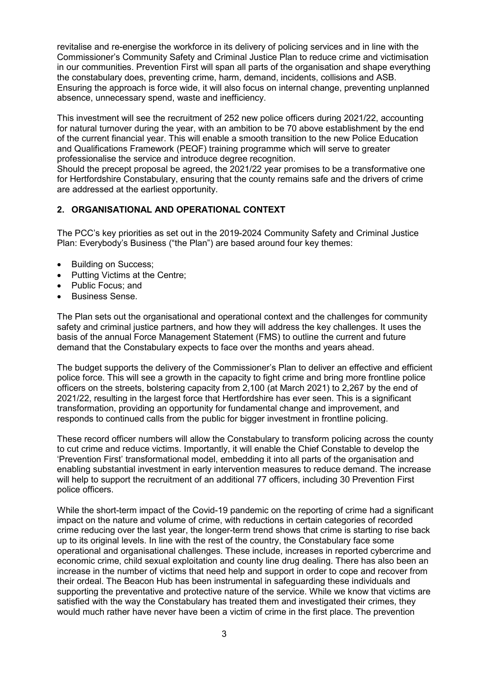revitalise and re-energise the workforce in its delivery of policing services and in line with the Commissioner's Community Safety and Criminal Justice Plan to reduce crime and victimisation in our communities. Prevention First will span all parts of the organisation and shape everything the constabulary does, preventing crime, harm, demand, incidents, collisions and ASB. Ensuring the approach is force wide, it will also focus on internal change, preventing unplanned absence, unnecessary spend, waste and inefficiency.

This investment will see the recruitment of 252 new police officers during 2021/22, accounting for natural turnover during the year, with an ambition to be 70 above establishment by the end of the current financial year. This will enable a smooth transition to the new Police Education and Qualifications Framework (PEQF) training programme which will serve to greater professionalise the service and introduce degree recognition.

Should the precept proposal be agreed, the 2021/22 year promises to be a transformative one for Hertfordshire Constabulary, ensuring that the county remains safe and the drivers of crime are addressed at the earliest opportunity.

# **2. ORGANISATIONAL AND OPERATIONAL CONTEXT**

The PCC's key priorities as set out in the 2019-2024 Community Safety and Criminal Justice Plan: Everybody's Business ("the Plan") are based around four key themes:

- Building on Success;
- Putting Victims at the Centre;
- Public Focus; and
- Business Sense.

The Plan sets out the organisational and operational context and the challenges for community safety and criminal justice partners, and how they will address the key challenges. It uses the basis of the annual Force Management Statement (FMS) to outline the current and future demand that the Constabulary expects to face over the months and years ahead.

The budget supports the delivery of the Commissioner's Plan to deliver an effective and efficient police force. This will see a growth in the capacity to fight crime and bring more frontline police officers on the streets, bolstering capacity from 2,100 (at March 2021) to 2,267 by the end of 2021/22, resulting in the largest force that Hertfordshire has ever seen. This is a significant transformation, providing an opportunity for fundamental change and improvement, and responds to continued calls from the public for bigger investment in frontline policing.

These record officer numbers will allow the Constabulary to transform policing across the county to cut crime and reduce victims. Importantly, it will enable the Chief Constable to develop the 'Prevention First' transformational model, embedding it into all parts of the organisation and enabling substantial investment in early intervention measures to reduce demand. The increase will help to support the recruitment of an additional 77 officers, including 30 Prevention First police officers.

While the short-term impact of the Covid-19 pandemic on the reporting of crime had a significant impact on the nature and volume of crime, with reductions in certain categories of recorded crime reducing over the last year, the longer-term trend shows that crime is starting to rise back up to its original levels. In line with the rest of the country, the Constabulary face some operational and organisational challenges. These include, increases in reported cybercrime and economic crime, child sexual exploitation and county line drug dealing. There has also been an increase in the number of victims that need help and support in order to cope and recover from their ordeal. The Beacon Hub has been instrumental in safeguarding these individuals and supporting the preventative and protective nature of the service. While we know that victims are satisfied with the way the Constabulary has treated them and investigated their crimes, they would much rather have never have been a victim of crime in the first place. The prevention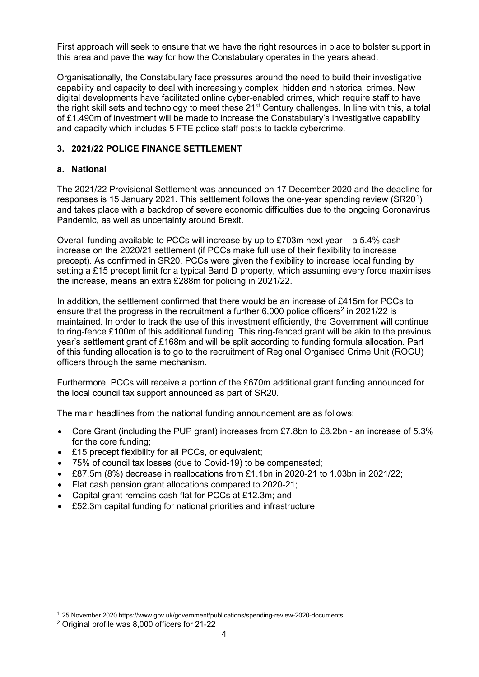First approach will seek to ensure that we have the right resources in place to bolster support in this area and pave the way for how the Constabulary operates in the years ahead.

Organisationally, the Constabulary face pressures around the need to build their investigative capability and capacity to deal with increasingly complex, hidden and historical crimes. New digital developments have facilitated online cyber-enabled crimes, which require staff to have the right skill sets and technology to meet these 21<sup>st</sup> Century challenges. In line with this, a total of £1.490m of investment will be made to increase the Constabulary's investigative capability and capacity which includes 5 FTE police staff posts to tackle cybercrime.

### **3. 2021/22 POLICE FINANCE SETTLEMENT**

#### **a. National**

The 2021/22 Provisional Settlement was announced on 17 December 2020 and the deadline for responses is [1](#page-3-0)5 January 2021. This settlement follows the one-year spending review (SR201) and takes place with a backdrop of severe economic difficulties due to the ongoing Coronavirus Pandemic, as well as uncertainty around Brexit.

Overall funding available to PCCs will increase by up to £703m next year – a 5.4% cash increase on the 2020/21 settlement (if PCCs make full use of their flexibility to increase precept). As confirmed in SR20, PCCs were given the flexibility to increase local funding by setting a £15 precept limit for a typical Band D property, which assuming every force maximises the increase, means an extra £288m for policing in 2021/22.

In addition, the settlement confirmed that there would be an increase of £415m for PCCs to ensure that the progress in the recruitment a further  $6,000$  police officers<sup>[2](#page-3-1)</sup> in 2021/22 is maintained. In order to track the use of this investment efficiently, the Government will continue to ring-fence £100m of this additional funding. This ring-fenced grant will be akin to the previous year's settlement grant of £168m and will be split according to funding formula allocation. Part of this funding allocation is to go to the recruitment of Regional Organised Crime Unit (ROCU) officers through the same mechanism.

Furthermore, PCCs will receive a portion of the £670m additional grant funding announced for the local council tax support announced as part of SR20.

The main headlines from the national funding announcement are as follows:

- Core Grant (including the PUP grant) increases from £7.8bn to £8.2bn an increase of 5.3% for the core funding;
- £15 precept flexibility for all PCCs, or equivalent;
- 75% of council tax losses (due to Covid-19) to be compensated;
- £87.5m (8%) decrease in reallocations from £1.1bn in 2020-21 to 1.03bn in 2021/22:
- Flat cash pension grant allocations compared to 2020-21;
- Capital grant remains cash flat for PCCs at £12.3m; and
- £52.3m capital funding for national priorities and infrastructure.

-

<span id="page-3-0"></span><sup>1</sup> 25 November 2020 https://www.gov.uk/government/publications/spending-review-2020-documents

<span id="page-3-1"></span><sup>2</sup> Original profile was 8,000 officers for 21-22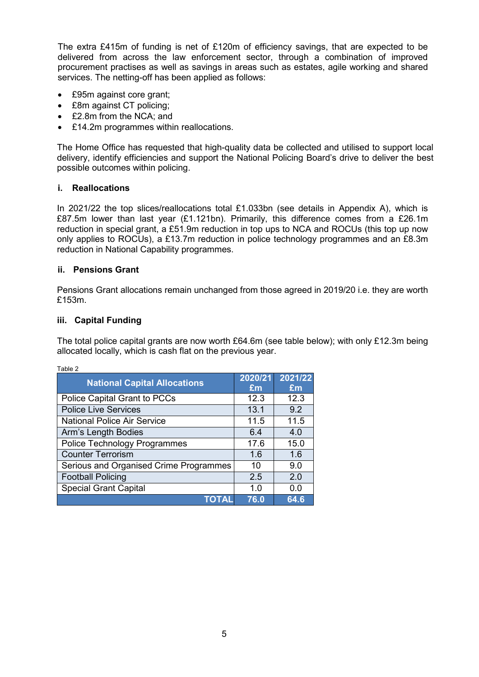The extra £415m of funding is net of £120m of efficiency savings, that are expected to be delivered from across the law enforcement sector, through a combination of improved procurement practises as well as savings in areas such as estates, agile working and shared services. The netting-off has been applied as follows:

- £95m against core grant;
- £8m against CT policing;
- £2.8m from the NCA; and
- £14.2m programmes within reallocations.

The Home Office has requested that high-quality data be collected and utilised to support local delivery, identify efficiencies and support the National Policing Board's drive to deliver the best possible outcomes within policing.

#### **i. Reallocations**

In 2021/22 the top slices/reallocations total £1.033bn (see details in Appendix A), which is £87.5m lower than last year (£1.121bn). Primarily, this difference comes from a £26.1m reduction in special grant, a £51.9m reduction in top ups to NCA and ROCUs (this top up now only applies to ROCUs), a £13.7m reduction in police technology programmes and an £8.3m reduction in National Capability programmes.

#### **ii. Pensions Grant**

Pensions Grant allocations remain unchanged from those agreed in 2019/20 i.e. they are worth £153m.

#### **iii. Capital Funding**

The total police capital grants are now worth £64.6m (see table below); with only £12.3m being allocated locally, which is cash flat on the previous year.

| Tapic Z                                |         |         |
|----------------------------------------|---------|---------|
| <b>National Capital Allocations</b>    | 2020/21 | 2021/22 |
|                                        | £m      | £m      |
| Police Capital Grant to PCCs           | 12.3    | 12.3    |
| <b>Police Live Services</b>            | 13.1    | 9.2     |
| <b>National Police Air Service</b>     | 11.5    | 11.5    |
| Arm's Length Bodies                    | 6.4     | 4.0     |
| <b>Police Technology Programmes</b>    | 17.6    | 15.0    |
| <b>Counter Terrorism</b>               | 1.6     | 1.6     |
| Serious and Organised Crime Programmes | 10      | 9.0     |
| <b>Football Policing</b>               | 2.5     | 2.0     |
| <b>Special Grant Capital</b>           | 1.0     | 0.0     |
| TOTA                                   | 76.0    | 64.6    |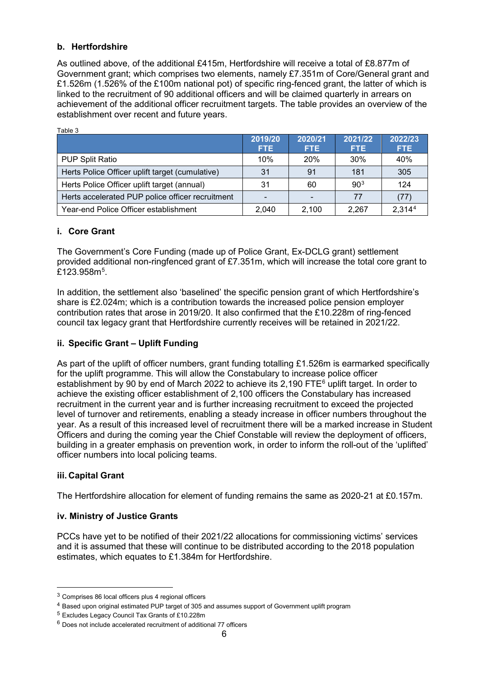# **b. Hertfordshire**

As outlined above, of the additional £415m, Hertfordshire will receive a total of £8.877m of Government grant; which comprises two elements, namely £7.351m of Core/General grant and £1.526m (1.526% of the £100m national pot) of specific ring-fenced grant, the latter of which is linked to the recruitment of 90 additional officers and will be claimed quarterly in arrears on achievement of the additional officer recruitment targets. The table provides an overview of the establishment over recent and future years.

| Table 3                                          |                       |                       |                 |                 |
|--------------------------------------------------|-----------------------|-----------------------|-----------------|-----------------|
|                                                  | 2019/20<br><b>FTE</b> | 2020/21<br><b>FTE</b> | 2021/22<br>FTE. | 2022/23<br>FTE. |
| <b>PUP Split Ratio</b>                           | 10%                   | 20%                   | 30%             | 40%             |
| Herts Police Officer uplift target (cumulative)  | 31                    | 91                    | 181             | 305             |
| Herts Police Officer uplift target (annual)      | 31                    | 60                    | 90 <sup>3</sup> | 124             |
| Herts accelerated PUP police officer recruitment |                       |                       | 77              | (77)            |
| Year-end Police Officer establishment            | 2.040                 | 2.100                 | 2.267           | 2.3144          |

### **i. Core Grant**

The Government's Core Funding (made up of Police Grant, Ex-DCLG grant) settlement provided additional non-ringfenced grant of £7.351m, which will increase the total core grant to  $£123.958m<sup>5</sup>$ .

In addition, the settlement also 'baselined' the specific pension grant of which Hertfordshire's share is £2.024m; which is a contribution towards the increased police pension employer contribution rates that arose in 2019/20. It also confirmed that the £10.228m of ring-fenced council tax legacy grant that Hertfordshire currently receives will be retained in 2021/22.

# **ii. Specific Grant – Uplift Funding**

As part of the uplift of officer numbers, grant funding totalling £1.526m is earmarked specifically for the uplift programme. This will allow the Constabulary to increase police officer establishment by 90 by end of March 2022 to achieve its 2.190 FTE<sup>6</sup> uplift target. In order to achieve the existing officer establishment of 2,100 officers the Constabulary has increased recruitment in the current year and is further increasing recruitment to exceed the projected level of turnover and retirements, enabling a steady increase in officer numbers throughout the year. As a result of this increased level of recruitment there will be a marked increase in Student Officers and during the coming year the Chief Constable will review the deployment of officers, building in a greater emphasis on prevention work, in order to inform the roll-out of the 'uplifted' officer numbers into local policing teams.

#### **iii. Capital Grant**

<u>.</u>

The Hertfordshire allocation for element of funding remains the same as 2020-21 at £0.157m.

#### **iv. Ministry of Justice Grants**

PCCs have yet to be notified of their 2021/22 allocations for commissioning victims' services and it is assumed that these will continue to be distributed according to the 2018 population estimates, which equates to £1.384m for Hertfordshire.

<span id="page-5-0"></span><sup>3</sup> Comprises 86 local officers plus 4 regional officers

<span id="page-5-1"></span><sup>4</sup> Based upon original estimated PUP target of 305 and assumes support of Government uplift program

<span id="page-5-2"></span><sup>5</sup> Excludes Legacy Council Tax Grants of £10.228m

<span id="page-5-3"></span><sup>6</sup> Does not include accelerated recruitment of additional 77 officers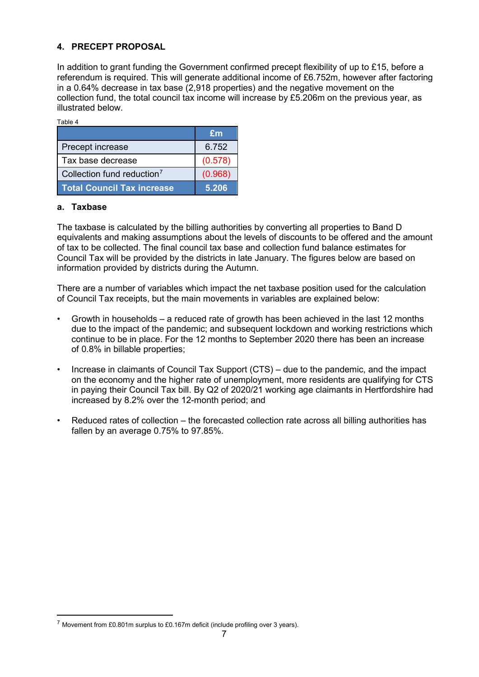# **4. PRECEPT PROPOSAL**

In addition to grant funding the Government confirmed precept flexibility of up to £15, before a referendum is required. This will generate additional income of £6.752m, however after factoring in a 0.64% decrease in tax base (2,918 properties) and the negative movement on the collection fund, the total council tax income will increase by £5.206m on the previous year, as illustrated below.

|                                        | £m      |
|----------------------------------------|---------|
| Precept increase                       | 6.752   |
| Tax base decrease                      | (0.578) |
| Collection fund reduction <sup>7</sup> | (0.968) |
| <b>Total Council Tax increase</b>      | 5.206   |

#### **a. Taxbase**

<u>.</u>

The taxbase is calculated by the billing authorities by converting all properties to Band D equivalents and making assumptions about the levels of discounts to be offered and the amount of tax to be collected. The final council tax base and collection fund balance estimates for Council Tax will be provided by the districts in late January. The figures below are based on information provided by districts during the Autumn.

There are a number of variables which impact the net taxbase position used for the calculation of Council Tax receipts, but the main movements in variables are explained below:

- Growth in households a reduced rate of growth has been achieved in the last 12 months due to the impact of the pandemic; and subsequent lockdown and working restrictions which continue to be in place. For the 12 months to September 2020 there has been an increase of 0.8% in billable properties;
- Increase in claimants of Council Tax Support (CTS) due to the pandemic, and the impact on the economy and the higher rate of unemployment, more residents are qualifying for CTS in paying their Council Tax bill. By Q2 of 2020/21 working age claimants in Hertfordshire had increased by 8.2% over the 12-month period; and
- Reduced rates of collection the forecasted collection rate across all billing authorities has fallen by an average 0.75% to 97.85%.

<span id="page-6-0"></span><sup>7</sup> Movement from £0.801m surplus to £0.167m deficit (include profiling over 3 years).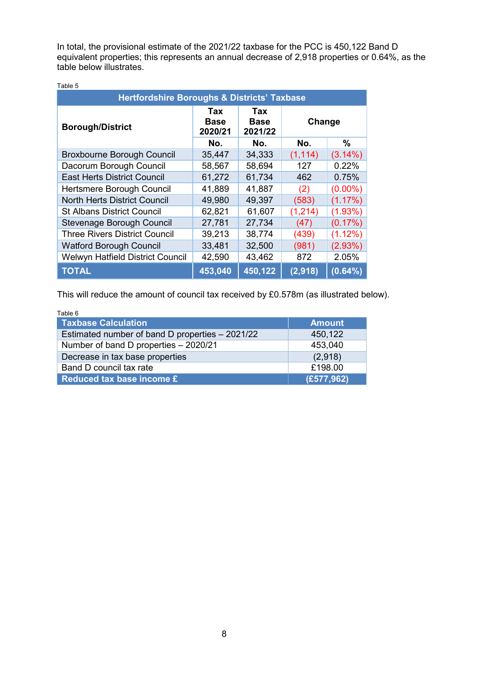In total, the provisional estimate of the 2021/22 taxbase for the PCC is 450,122 Band D equivalent properties; this represents an annual decrease of 2,918 properties or 0.64%, as the table below illustrates.

| <b>Hertfordshire Boroughs &amp; Districts' Taxbase</b> |                               |                               |          |            |  |
|--------------------------------------------------------|-------------------------------|-------------------------------|----------|------------|--|
| <b>Borough/District</b>                                | Tax<br><b>Base</b><br>2020/21 | Tax<br><b>Base</b><br>2021/22 | Change   |            |  |
|                                                        | No.                           | No.                           | No.      | %          |  |
| <b>Broxbourne Borough Council</b>                      | 35,447                        | 34,333                        | (1, 114) | $(3.14\%)$ |  |
| Dacorum Borough Council                                | 58,567                        | 58,694                        | 127      | 0.22%      |  |
| <b>East Herts District Council</b>                     | 61,272                        | 61,734                        | 462      | 0.75%      |  |
| Hertsmere Borough Council                              | 41,889                        | 41,887                        | (2)      | $(0.00\%)$ |  |
| <b>North Herts District Council</b>                    | 49,980                        | 49,397                        | (583)    | (1.17%)    |  |
| <b>St Albans District Council</b>                      | 62,821                        | 61,607                        | (1, 214) | $(1.93\%)$ |  |
| Stevenage Borough Council                              | 27,781                        | 27,734                        | (47)     | $(0.17\%)$ |  |
| <b>Three Rivers District Council</b>                   | 39,213                        | 38,774                        | (439)    | $(1.12\%)$ |  |
| <b>Watford Borough Council</b>                         | 33,481                        | 32,500                        | (981)    | (2.93%)    |  |
| <b>Welwyn Hatfield District Council</b>                | 42,590                        | 43,462                        | 872      | 2.05%      |  |
| <b>TOTAL</b>                                           | 453,040                       | 450,122                       | (2,918)  | $(0.64\%)$ |  |

#### Table 5

This will reduce the amount of council tax received by £0.578m (as illustrated below).

| Table 6                                         |               |
|-------------------------------------------------|---------------|
| <b>Taxbase Calculation</b>                      | <b>Amount</b> |
| Estimated number of band D properties - 2021/22 | 450,122       |
| Number of band D properties - 2020/21           | 453,040       |
| Decrease in tax base properties                 | (2,918)       |
| Band D council tax rate                         | £198.00       |
| <b>Reduced tax base income £</b>                | (E577, 962)   |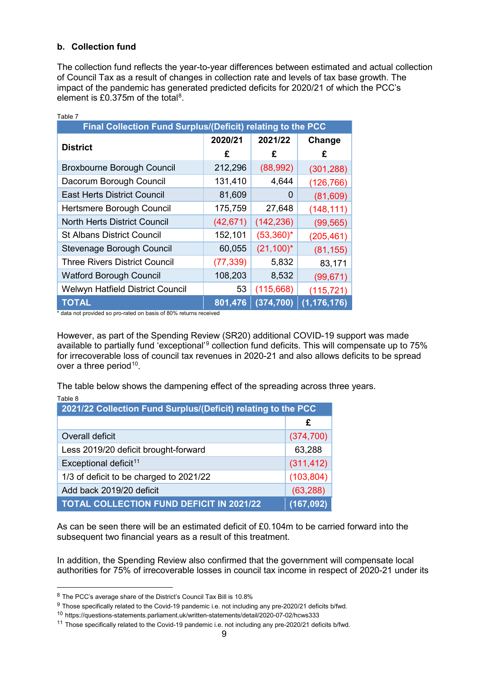# **b. Collection fund**

 $\equiv$   $\pm$ 

The collection fund reflects the year-to-year differences between estimated and actual collection of Council Tax as a result of changes in collection rate and levels of tax base growth. The impact of the pandemic has generated predicted deficits for 2020/21 of which the PCC's element is £0.375m of the total<sup>[8](#page-8-0)</sup>.

| Final Collection Fund Surplus/(Deficit) relating to the PCC |           |               |               |  |  |  |
|-------------------------------------------------------------|-----------|---------------|---------------|--|--|--|
|                                                             | 2020/21   | 2021/22       | Change        |  |  |  |
| <b>District</b>                                             | £         | £             | £             |  |  |  |
| <b>Broxbourne Borough Council</b>                           | 212,296   | (88,992)      | (301, 288)    |  |  |  |
| Dacorum Borough Council                                     | 131,410   | 4,644         | (126, 766)    |  |  |  |
| <b>East Herts District Council</b>                          | 81,609    | 0             | (81,609)      |  |  |  |
| Hertsmere Borough Council                                   | 175,759   | 27,648        | (148, 111)    |  |  |  |
| <b>North Herts District Council</b>                         | (42, 671) | (142, 236)    | (99, 565)     |  |  |  |
| <b>St Albans District Council</b>                           | 152,101   | $(53,360)^*$  | (205, 461)    |  |  |  |
| Stevenage Borough Council                                   | 60,055    | $(21, 100)^*$ | (81, 155)     |  |  |  |
| <b>Three Rivers District Council</b>                        | (77, 339) | 5,832         | 83,171        |  |  |  |
| <b>Watford Borough Council</b>                              | 108,203   | 8,532         | (99, 671)     |  |  |  |
| Welwyn Hatfield District Council                            | 53        | (115, 668)    | (115, 721)    |  |  |  |
| <b>TOTAL</b>                                                | 801,476   | (374, 700)    | (1, 176, 176) |  |  |  |

\* data not provided so pro-rated on basis of 80% returns received

However, as part of the Spending Review (SR20) additional COVID-19 support was made available to partially fund 'exceptional'<sup>[9](#page-8-1)</sup> collection fund deficits. This will compensate up to 75% for irrecoverable loss of council tax revenues in 2020-21 and also allows deficits to be spread over a three period $10$ .

The table below shows the dampening effect of the spreading across three years. Table 8

| 2021/22 Collection Fund Surplus/(Deficit) relating to the PCC |            |  |
|---------------------------------------------------------------|------------|--|
|                                                               | £          |  |
| Overall deficit                                               | (374, 700) |  |
| Less 2019/20 deficit brought-forward                          | 63,288     |  |
| Exceptional deficit <sup>11</sup>                             | (311, 412) |  |
| 1/3 of deficit to be charged to 2021/22                       | (103, 804) |  |
| Add back 2019/20 deficit                                      | (63, 288)  |  |
| <b>TOTAL COLLECTION FUND DEFICIT IN 2021/22</b>               | (167, 092) |  |

As can be seen there will be an estimated deficit of £0.104m to be carried forward into the subsequent two financial years as a result of this treatment.

In addition, the Spending Review also confirmed that the government will compensate local authorities for 75% of irrecoverable losses in council tax income in respect of 2020-21 under its

<span id="page-8-0"></span><sup>8</sup> The PCC's average share of the District's Council Tax Bill is 10.8%

<span id="page-8-1"></span><sup>&</sup>lt;sup>9</sup> Those specifically related to the Covid-19 pandemic i.e. not including any pre-2020/21 deficits b/fwd.

<span id="page-8-2"></span><sup>10</sup> https://questions-statements.parliament.uk/written-statements/detail/2020-07-02/hcws333

<span id="page-8-3"></span><sup>11</sup> Those specifically related to the Covid-19 pandemic i.e. not including any pre-2020/21 deficits b/fwd.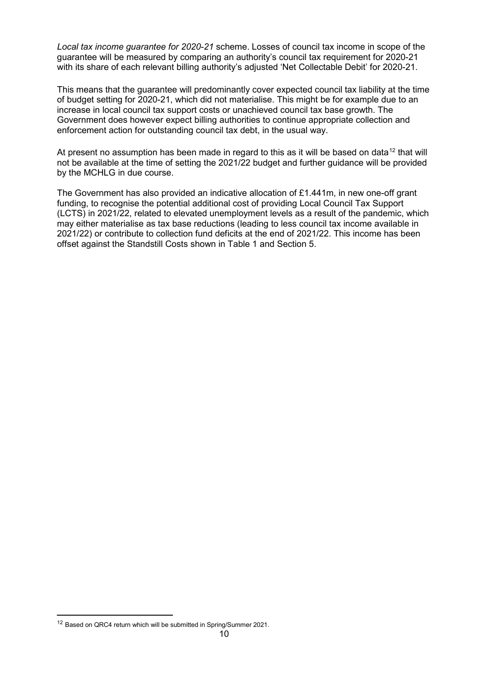*Local tax income guarantee for 2020-21* scheme. Losses of council tax income in scope of the guarantee will be measured by comparing an authority's council tax requirement for 2020-21 with its share of each relevant billing authority's adjusted 'Net Collectable Debit' for 2020-21.

This means that the guarantee will predominantly cover expected council tax liability at the time of budget setting for 2020-21, which did not materialise. This might be for example due to an increase in local council tax support costs or unachieved council tax base growth. The Government does however expect billing authorities to continue appropriate collection and enforcement action for outstanding council tax debt, in the usual way.

At present no assumption has been made in regard to this as it will be based on data<sup>[12](#page-9-0)</sup> that will not be available at the time of setting the 2021/22 budget and further guidance will be provided by the MCHLG in due course.

The Government has also provided an indicative allocation of £1.441m, in new one-off grant funding, to recognise the potential additional cost of providing Local Council Tax Support (LCTS) in 2021/22, related to elevated unemployment levels as a result of the pandemic, which may either materialise as tax base reductions (leading to less council tax income available in 2021/22) or contribute to collection fund deficits at the end of 2021/22. This income has been offset against the Standstill Costs shown in Table 1 and Section 5.

<span id="page-9-0"></span><sup>12</sup> Based on QRC4 return which will be submitted in Spring/Summer 2021.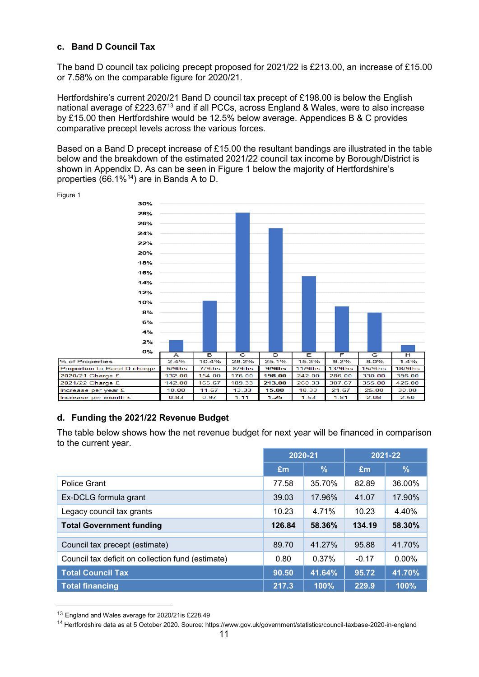# **c. Band D Council Tax**

The band D council tax policing precept proposed for 2021/22 is £213.00, an increase of £15.00 or 7.58% on the comparable figure for 2020/21.

Hertfordshire's current 2020/21 Band D council tax precept of £198.00 is below the English national average of £223.67<sup>[13](#page-10-0)</sup> and if all PCCs, across England & Wales, were to also increase by £15.00 then Hertfordshire would be 12.5% below average. Appendices B & C provides comparative precept levels across the various forces.

Based on a Band D precept increase of £15.00 the resultant bandings are illustrated in the table below and the breakdown of the estimated 2021/22 council tax income by Borough/District is shown in Appendix D. As can be seen in Figure 1 below the majority of Hertfordshire's properties (66.1% $14$ ) are in Bands A to D.



#### **d. Funding the 2021/22 Revenue Budget**

The table below shows how the net revenue budget for next year will be financed in comparison to the current year.

|                                                   | 2020-21 |        | 2021-22 |          |
|---------------------------------------------------|---------|--------|---------|----------|
|                                                   | Em      | %      | Em      | $\%$     |
| Police Grant                                      | 77.58   | 35.70% | 82.89   | 36.00%   |
| Ex-DCLG formula grant                             | 39.03   | 17.96% | 41.07   | 17.90%   |
| Legacy council tax grants                         | 10.23   | 4.71%  | 10.23   | 4.40%    |
| <b>Total Government funding</b>                   | 126.84  | 58.36% | 134.19  | 58.30%   |
|                                                   |         |        |         |          |
| Council tax precept (estimate)                    | 89.70   | 41.27% | 95.88   | 41.70%   |
| Council tax deficit on collection fund (estimate) | 0.80    | 0.37%  | $-0.17$ | $0.00\%$ |
| <b>Total Council Tax</b>                          | 90.50   | 41.64% | 95.72   | 41.70%   |
| <b>Total financing</b>                            | 217.3   | 100%   | 229.9   | 100%     |

<span id="page-10-0"></span><sup>13</sup> England and Wales average for 2020/21is £228.49

-

<span id="page-10-1"></span><sup>14</sup> Hertfordshire data as at 5 October 2020. Source: https://www.gov.uk/government/statistics/council-taxbase-2020-in-england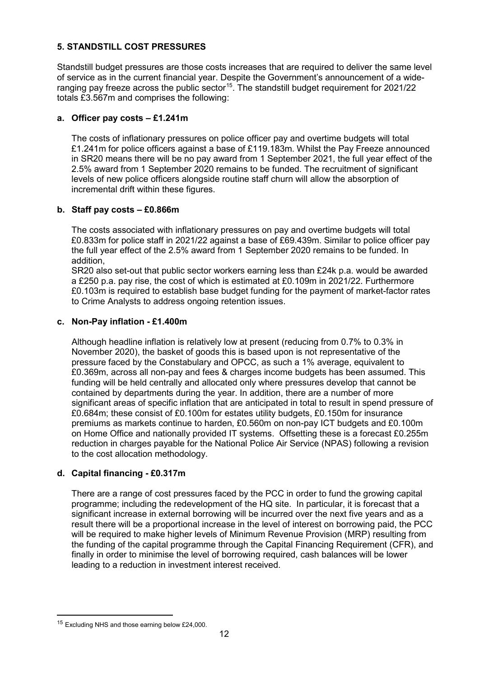# **5. STANDSTILL COST PRESSURES**

Standstill budget pressures are those costs increases that are required to deliver the same level of service as in the current financial year. Despite the Government's announcement of a wideranging pay freeze across the public sector<sup>15</sup>. The standstill budget requirement for  $2021/22$ totals £3.567m and comprises the following:

# **a. Officer pay costs – £1.241m**

The costs of inflationary pressures on police officer pay and overtime budgets will total £1.241m for police officers against a base of £119.183m. Whilst the Pay Freeze announced in SR20 means there will be no pay award from 1 September 2021, the full year effect of the 2.5% award from 1 September 2020 remains to be funded. The recruitment of significant levels of new police officers alongside routine staff churn will allow the absorption of incremental drift within these figures.

### **b. Staff pay costs – £0.866m**

The costs associated with inflationary pressures on pay and overtime budgets will total £0.833m for police staff in 2021/22 against a base of £69.439m. Similar to police officer pay the full year effect of the 2.5% award from 1 September 2020 remains to be funded. In addition,

SR20 also set-out that public sector workers earning less than £24k p.a. would be awarded a £250 p.a. pay rise, the cost of which is estimated at £0.109m in 2021/22. Furthermore £0.103m is required to establish base budget funding for the payment of market-factor rates to Crime Analysts to address ongoing retention issues.

### **c. Non-Pay inflation - £1.400m**

Although headline inflation is relatively low at present (reducing from 0.7% to 0.3% in November 2020), the basket of goods this is based upon is not representative of the pressure faced by the Constabulary and OPCC, as such a 1% average, equivalent to £0.369m, across all non-pay and fees & charges income budgets has been assumed. This funding will be held centrally and allocated only where pressures develop that cannot be contained by departments during the year. In addition, there are a number of more significant areas of specific inflation that are anticipated in total to result in spend pressure of £0.684m; these consist of £0.100m for estates utility budgets, £0.150m for insurance premiums as markets continue to harden, £0.560m on non-pay ICT budgets and £0.100m on Home Office and nationally provided IT systems. Offsetting these is a forecast £0.255m reduction in charges payable for the National Police Air Service (NPAS) following a revision to the cost allocation methodology.

# **d. Capital financing - £0.317m**

There are a range of cost pressures faced by the PCC in order to fund the growing capital programme; including the redevelopment of the HQ site. In particular, it is forecast that a significant increase in external borrowing will be incurred over the next five years and as a result there will be a proportional increase in the level of interest on borrowing paid, the PCC will be required to make higher levels of Minimum Revenue Provision (MRP) resulting from the funding of the capital programme through the Capital Financing Requirement (CFR), and finally in order to minimise the level of borrowing required, cash balances will be lower leading to a reduction in investment interest received.

<span id="page-11-0"></span><sup>15</sup> Excluding NHS and those earning below £24,000.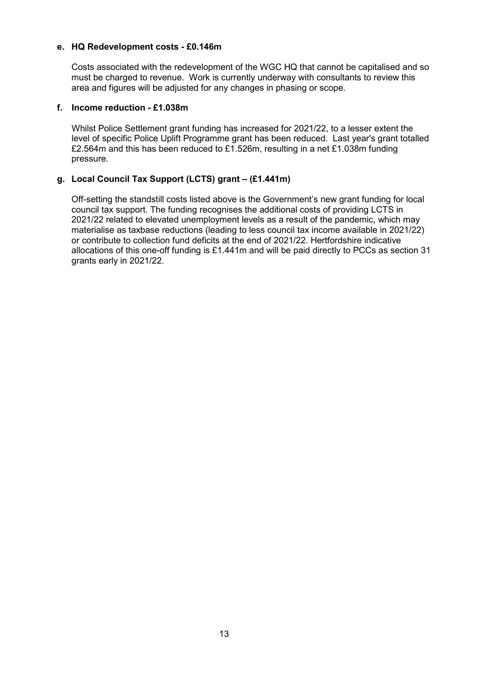#### **e. HQ Redevelopment costs - £0.146m**

Costs associated with the redevelopment of the WGC HQ that cannot be capitalised and so must be charged to revenue. Work is currently underway with consultants to review this area and figures will be adjusted for any changes in phasing or scope.

#### **f. Income reduction - £1.038m**

Whilst Police Settlement grant funding has increased for 2021/22, to a lesser extent the level of specific Police Uplift Programme grant has been reduced. Last year's grant totalled £2.564m and this has been reduced to £1.526m, resulting in a net £1.038m funding pressure.

#### **g. Local Council Tax Support (LCTS) grant – (£1.441m)**

Off-setting the standstill costs listed above is the Government's new grant funding for local council tax support. The funding recognises the additional costs of providing LCTS in 2021/22 related to elevated unemployment levels as a result of the pandemic, which may materialise as taxbase reductions (leading to less council tax income available in 2021/22) or contribute to collection fund deficits at the end of 2021/22. Hertfordshire indicative allocations of this one-off funding is £1.441m and will be paid directly to PCCs as section 31 grants early in 2021/22.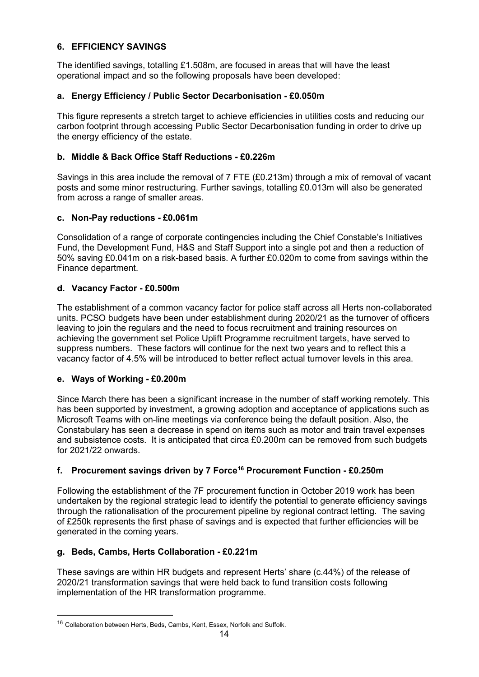# **6. EFFICIENCY SAVINGS**

The identified savings, totalling £1.508m, are focused in areas that will have the least operational impact and so the following proposals have been developed:

### **a. Energy Efficiency / Public Sector Decarbonisation - £0.050m**

This figure represents a stretch target to achieve efficiencies in utilities costs and reducing our carbon footprint through accessing Public Sector Decarbonisation funding in order to drive up the energy efficiency of the estate.

#### **b. Middle & Back Office Staff Reductions - £0.226m**

Savings in this area include the removal of 7 FTE (£0.213m) through a mix of removal of vacant posts and some minor restructuring. Further savings, totalling £0.013m will also be generated from across a range of smaller areas.

### **c. Non-Pay reductions - £0.061m**

Consolidation of a range of corporate contingencies including the Chief Constable's Initiatives Fund, the Development Fund, H&S and Staff Support into a single pot and then a reduction of 50% saving £0.041m on a risk-based basis. A further £0.020m to come from savings within the Finance department.

### **d. Vacancy Factor - £0.500m**

The establishment of a common vacancy factor for police staff across all Herts non-collaborated units. PCSO budgets have been under establishment during 2020/21 as the turnover of officers leaving to join the regulars and the need to focus recruitment and training resources on achieving the government set Police Uplift Programme recruitment targets, have served to suppress numbers. These factors will continue for the next two years and to reflect this a vacancy factor of 4.5% will be introduced to better reflect actual turnover levels in this area.

#### **e. Ways of Working - £0.200m**

<u>.</u>

Since March there has been a significant increase in the number of staff working remotely. This has been supported by investment, a growing adoption and acceptance of applications such as Microsoft Teams with on-line meetings via conference being the default position. Also, the Constabulary has seen a decrease in spend on items such as motor and train travel expenses and subsistence costs. It is anticipated that circa £0.200m can be removed from such budgets for 2021/22 onwards.

# **f. Procurement savings driven by 7 Forc[e16](#page-13-0) Procurement Function - £0.250m**

Following the establishment of the 7F procurement function in October 2019 work has been undertaken by the regional strategic lead to identify the potential to generate efficiency savings through the rationalisation of the procurement pipeline by regional contract letting. The saving of £250k represents the first phase of savings and is expected that further efficiencies will be generated in the coming years.

# **g. Beds, Cambs, Herts Collaboration - £0.221m**

These savings are within HR budgets and represent Herts' share (c.44%) of the release of 2020/21 transformation savings that were held back to fund transition costs following implementation of the HR transformation programme.

<span id="page-13-0"></span><sup>&</sup>lt;sup>16</sup> Collaboration between Herts, Beds, Cambs, Kent, Essex, Norfolk and Suffolk.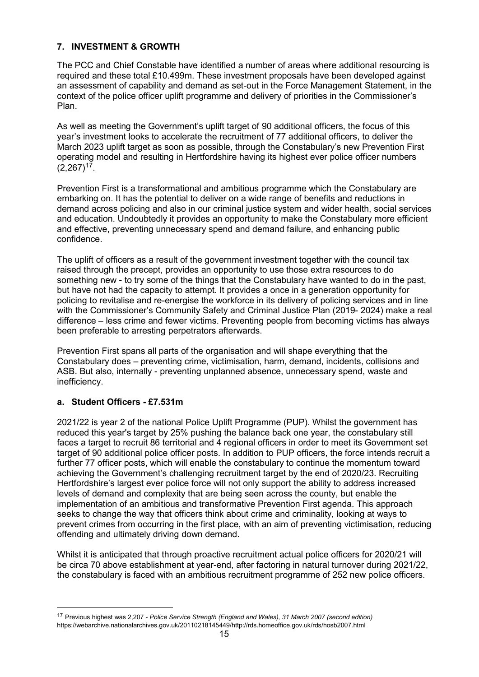# **7. INVESTMENT & GROWTH**

The PCC and Chief Constable have identified a number of areas where additional resourcing is required and these total £10.499m. These investment proposals have been developed against an assessment of capability and demand as set-out in the Force Management Statement, in the context of the police officer uplift programme and delivery of priorities in the Commissioner's Plan.

As well as meeting the Government's uplift target of 90 additional officers, the focus of this year's investment looks to accelerate the recruitment of 77 additional officers, to deliver the March 2023 uplift target as soon as possible, through the Constabulary's new Prevention First operating model and resulting in Hertfordshire having its highest ever police officer numbers  $(2,267)^{17}$  $(2,267)^{17}$  $(2,267)^{17}$ .

Prevention First is a transformational and ambitious programme which the Constabulary are embarking on. It has the potential to deliver on a wide range of benefits and reductions in demand across policing and also in our criminal justice system and wider health, social services and education. Undoubtedly it provides an opportunity to make the Constabulary more efficient and effective, preventing unnecessary spend and demand failure, and enhancing public confidence.

The uplift of officers as a result of the government investment together with the council tax raised through the precept, provides an opportunity to use those extra resources to do something new - to try some of the things that the Constabulary have wanted to do in the past, but have not had the capacity to attempt. It provides a once in a generation opportunity for policing to revitalise and re-energise the workforce in its delivery of policing services and in line with the Commissioner's Community Safety and Criminal Justice Plan (2019- 2024) make a real difference – less crime and fewer victims. Preventing people from becoming victims has always been preferable to arresting perpetrators afterwards.

Prevention First spans all parts of the organisation and will shape everything that the Constabulary does – preventing crime, victimisation, harm, demand, incidents, collisions and ASB. But also, internally - preventing unplanned absence, unnecessary spend, waste and inefficiency.

# **a. Student Officers - £7.531m**

-

2021/22 is year 2 of the national Police Uplift Programme (PUP). Whilst the government has reduced this year's target by 25% pushing the balance back one year, the constabulary still faces a target to recruit 86 territorial and 4 regional officers in order to meet its Government set target of 90 additional police officer posts. In addition to PUP officers, the force intends recruit a further 77 officer posts, which will enable the constabulary to continue the momentum toward achieving the Government's challenging recruitment target by the end of 2020/23. Recruiting Hertfordshire's largest ever police force will not only support the ability to address increased levels of demand and complexity that are being seen across the county, but enable the implementation of an ambitious and transformative Prevention First agenda. This approach seeks to change the way that officers think about crime and criminality, looking at ways to prevent crimes from occurring in the first place, with an aim of preventing victimisation, reducing offending and ultimately driving down demand.

Whilst it is anticipated that through proactive recruitment actual police officers for 2020/21 will be circa 70 above establishment at year-end, after factoring in natural turnover during 2021/22, the constabulary is faced with an ambitious recruitment programme of 252 new police officers.

<span id="page-14-0"></span><sup>17</sup> Previous highest was 2,207 - *Police Service Strength (England and Wales), 31 March 2007 (second edition)* https://webarchive.nationalarchives.gov.uk/20110218145449/http://rds.homeoffice.gov.uk/rds/hosb2007.html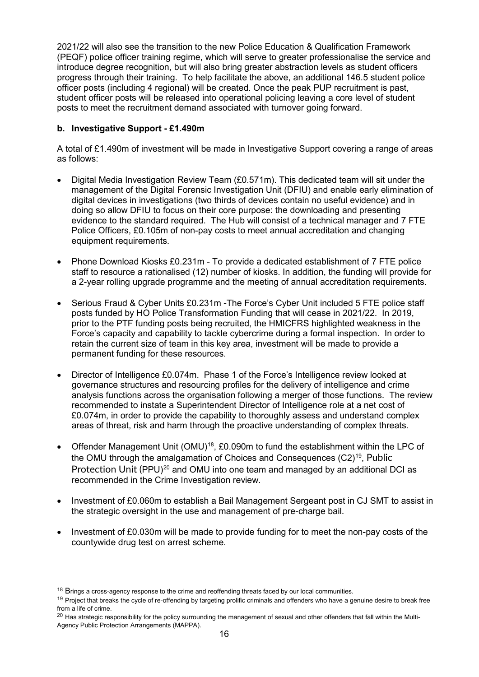2021/22 will also see the transition to the new Police Education & Qualification Framework (PEQF) police officer training regime, which will serve to greater professionalise the service and introduce degree recognition, but will also bring greater abstraction levels as student officers progress through their training. To help facilitate the above, an additional 146.5 student police officer posts (including 4 regional) will be created. Once the peak PUP recruitment is past, student officer posts will be released into operational policing leaving a core level of student posts to meet the recruitment demand associated with turnover going forward.

# **b. Investigative Support - £1.490m**

A total of £1.490m of investment will be made in Investigative Support covering a range of areas as follows:

- Digital Media Investigation Review Team (£0.571m). This dedicated team will sit under the management of the Digital Forensic Investigation Unit (DFIU) and enable early elimination of digital devices in investigations (two thirds of devices contain no useful evidence) and in doing so allow DFIU to focus on their core purpose: the downloading and presenting evidence to the standard required. The Hub will consist of a technical manager and 7 FTE Police Officers, £0.105m of non-pay costs to meet annual accreditation and changing equipment requirements.
- Phone Download Kiosks £0.231m To provide a dedicated establishment of 7 FTE police staff to resource a rationalised (12) number of kiosks. In addition, the funding will provide for a 2-year rolling upgrade programme and the meeting of annual accreditation requirements.
- Serious Fraud & Cyber Units £0.231m The Force's Cyber Unit included 5 FTE police staff posts funded by HO Police Transformation Funding that will cease in 2021/22. In 2019, prior to the PTF funding posts being recruited, the HMICFRS highlighted weakness in the Force's capacity and capability to tackle cybercrime during a formal inspection. In order to retain the current size of team in this key area, investment will be made to provide a permanent funding for these resources.
- Director of Intelligence £0.074m. Phase 1 of the Force's Intelligence review looked at governance structures and resourcing profiles for the delivery of intelligence and crime analysis functions across the organisation following a merger of those functions. The review recommended to instate a Superintendent Director of Intelligence role at a net cost of £0.074m, in order to provide the capability to thoroughly assess and understand complex areas of threat, risk and harm through the proactive understanding of complex threats.
- Offender Management Unit (OMU)<sup>18</sup>, £0.090m to fund the establishment within the LPC of the OMU through the amalgamation of Choices and Consequences (C2)[19](#page-15-1), Public Protection Unit (PPU)<sup>[20](#page-15-2)</sup> and OMU into one team and managed by an additional DCI as recommended in the Crime Investigation review.
- Investment of £0.060m to establish a Bail Management Sergeant post in CJ SMT to assist in the strategic oversight in the use and management of pre-charge bail.
- Investment of £0.030m will be made to provide funding for to meet the non-pay costs of the countywide drug test on arrest scheme.

<span id="page-15-0"></span><sup>&</sup>lt;sup>18</sup> Brings a cross-agency response to the crime and reoffending threats faced by our local communities.

<span id="page-15-1"></span><sup>&</sup>lt;sup>19</sup> Project that breaks the cycle of re-offending by targeting prolific criminals and offenders who have a genuine desire to break free from a life of crime.

<span id="page-15-2"></span><sup>&</sup>lt;sup>20</sup> Has strategic responsibility for the policy surrounding the management of sexual and other offenders that fall within th[e Multi-](https://intranet.bch.police.uk/hertfordshire/Departments/Operational-support/Safeguarding-Command/Public-Protection-Unit/Multi-Agency-Public-Protection-Arrangements.aspx)[Agency Public Protection Arrangements](https://intranet.bch.police.uk/hertfordshire/Departments/Operational-support/Safeguarding-Command/Public-Protection-Unit/Multi-Agency-Public-Protection-Arrangements.aspx) (MAPPA).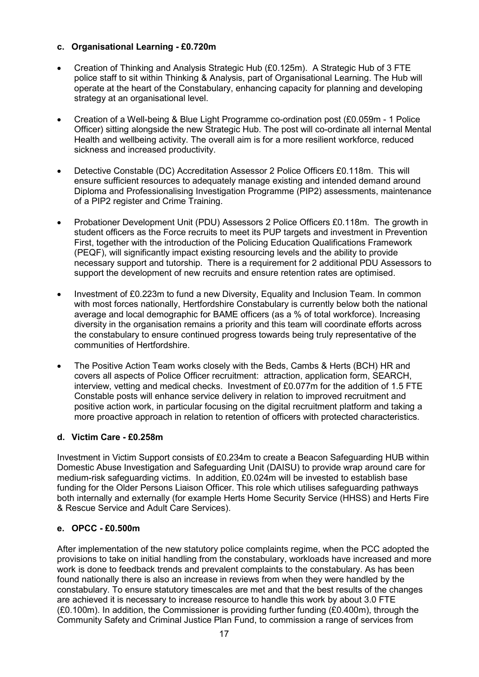# **c. Organisational Learning - £0.720m**

- Creation of Thinking and Analysis Strategic Hub (£0.125m). A Strategic Hub of 3 FTE police staff to sit within Thinking & Analysis, part of Organisational Learning. The Hub will operate at the heart of the Constabulary, enhancing capacity for planning and developing strategy at an organisational level.
- Creation of a Well-being & Blue Light Programme co-ordination post (£0.059m 1 Police Officer) sitting alongside the new Strategic Hub. The post will co-ordinate all internal Mental Health and wellbeing activity. The overall aim is for a more resilient workforce, reduced sickness and increased productivity.
- Detective Constable (DC) Accreditation Assessor 2 Police Officers £0.118m. This will ensure sufficient resources to adequately manage existing and intended demand around Diploma and Professionalising Investigation Programme (PIP2) assessments, maintenance of a PIP2 register and Crime Training.
- Probationer Development Unit (PDU) Assessors 2 Police Officers £0.118m. The growth in student officers as the Force recruits to meet its PUP targets and investment in Prevention First, together with the introduction of the Policing Education Qualifications Framework (PEQF), will significantly impact existing resourcing levels and the ability to provide necessary support and tutorship. There is a requirement for 2 additional PDU Assessors to support the development of new recruits and ensure retention rates are optimised.
- Investment of £0.223m to fund a new Diversity, Equality and Inclusion Team. In common with most forces nationally, Hertfordshire Constabulary is currently below both the national average and local demographic for BAME officers (as a % of total workforce). Increasing diversity in the organisation remains a priority and this team will coordinate efforts across the constabulary to ensure continued progress towards being truly representative of the communities of Hertfordshire.
- The Positive Action Team works closely with the Beds, Cambs & Herts (BCH) HR and covers all aspects of Police Officer recruitment: attraction, application form, SEARCH, interview, vetting and medical checks. Investment of £0.077m for the addition of 1.5 FTE Constable posts will enhance service delivery in relation to improved recruitment and positive action work, in particular focusing on the digital recruitment platform and taking a more proactive approach in relation to retention of officers with protected characteristics.

# **d. Victim Care - £0.258m**

Investment in Victim Support consists of £0.234m to create a Beacon Safeguarding HUB within Domestic Abuse Investigation and Safeguarding Unit (DAISU) to provide wrap around care for medium-risk safeguarding victims. In addition, £0.024m will be invested to establish base funding for the Older Persons Liaison Officer. This role which utilises safeguarding pathways both internally and externally (for example Herts Home Security Service (HHSS) and Herts Fire & Rescue Service and Adult Care Services).

#### **e. OPCC - £0.500m**

After implementation of the new statutory police complaints regime, when the PCC adopted the provisions to take on initial handling from the constabulary, workloads have increased and more work is done to feedback trends and prevalent complaints to the constabulary. As has been found nationally there is also an increase in reviews from when they were handled by the constabulary. To ensure statutory timescales are met and that the best results of the changes are achieved it is necessary to increase resource to handle this work by about 3.0 FTE (£0.100m). In addition, the Commissioner is providing further funding (£0.400m), through the Community Safety and Criminal Justice Plan Fund, to commission a range of services from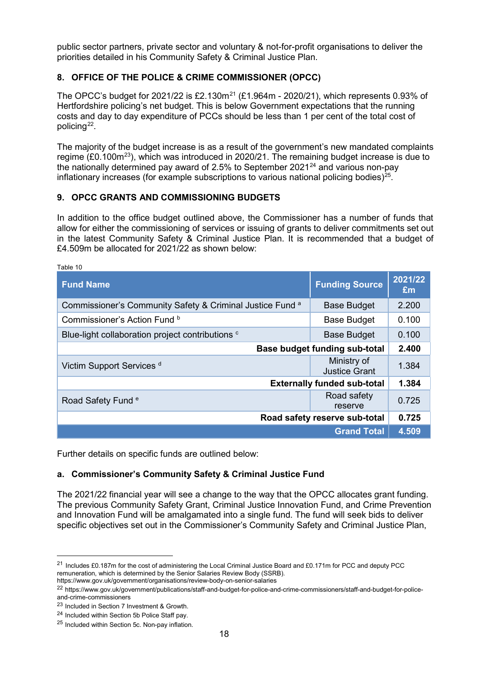public sector partners, private sector and voluntary & not-for-profit organisations to deliver the priorities detailed in his Community Safety & Criminal Justice Plan.

# **8. OFFICE OF THE POLICE & CRIME COMMISSIONER (OPCC)**

The OPCC's budget for 20[21](#page-17-0)/22 is £2.130m<sup>21</sup> (£1.964m - 2020/21), which represents 0.93% of Hertfordshire policing's net budget. This is below Government expectations that the running costs and day to day expenditure of PCCs should be less than 1 per cent of the total cost of policing<sup>[22](#page-17-1)</sup>.

The majority of the budget increase is as a result of the government's new mandated complaints regime  $(E0.100m^{23})$  $(E0.100m^{23})$  $(E0.100m^{23})$ , which was introduced in 2020/21. The remaining budget increase is due to the nationally determined pay award of 2.5% to September 2021<sup>[24](#page-17-3)</sup> and various non-pay inflationary increases (for example subscriptions to various national policing bodies)<sup>25</sup>.

### **9. OPCC GRANTS AND COMMISSIONING BUDGETS**

 $\pm$  10  $\pm$ 

-

In addition to the office budget outlined above, the Commissioner has a number of funds that allow for either the commissioning of services or issuing of grants to deliver commitments set out in the latest Community Safety & Criminal Justice Plan. It is recommended that a budget of £4.509m be allocated for 2021/22 as shown below:

| rapie lu                                                             |                                     |               |
|----------------------------------------------------------------------|-------------------------------------|---------------|
| <b>Fund Name</b>                                                     | <b>Funding Source</b>               | 2021/22<br>£m |
| Commissioner's Community Safety & Criminal Justice Fund <sup>a</sup> | <b>Base Budget</b>                  | 2.200         |
| Commissioner's Action Fund b                                         | <b>Base Budget</b>                  | 0.100         |
| Blue-light collaboration project contributions <sup>c</sup>          | <b>Base Budget</b>                  | 0.100         |
|                                                                      | Base budget funding sub-total       | 2.400         |
| Victim Support Services <sup>d</sup>                                 | Ministry of<br><b>Justice Grant</b> | 1.384         |
|                                                                      | <b>Externally funded sub-total</b>  | 1.384         |
| Road Safety Fund <sup>e</sup>                                        | Road safety<br>reserve              | 0.725         |
|                                                                      | Road safety reserve sub-total       | 0.725         |
|                                                                      | <b>Grand Total</b>                  | 4.509         |

Further details on specific funds are outlined below:

# **a. Commissioner's Community Safety & Criminal Justice Fund**

The 2021/22 financial year will see a change to the way that the OPCC allocates grant funding. The previous Community Safety Grant, Criminal Justice Innovation Fund, and Crime Prevention and Innovation Fund will be amalgamated into a single fund. The fund will seek bids to deliver specific objectives set out in the Commissioner's Community Safety and Criminal Justice Plan,

<span id="page-17-0"></span><sup>&</sup>lt;sup>21</sup> Includes £0.187m for the cost of administering the Local Criminal Justice Board and £0.171m for PCC and deputy PCC remuneration, which is determined by the Senior Salaries Review Body (SSRB).

https://www.gov.uk/government/organisations/review-body-on-senior-salaries

<span id="page-17-1"></span><sup>22</sup> https://www.gov.uk/government/publications/staff-and-budget-for-police-and-crime-commissioners/staff-and-budget-for-policeand-crime-commissioners

<span id="page-17-2"></span><sup>23</sup> Included in Section 7 Investment & Growth.

<span id="page-17-3"></span><sup>24</sup> Included within Section 5b Police Staff pay.

<span id="page-17-4"></span><sup>25</sup> Included within Section 5c. Non-pay inflation.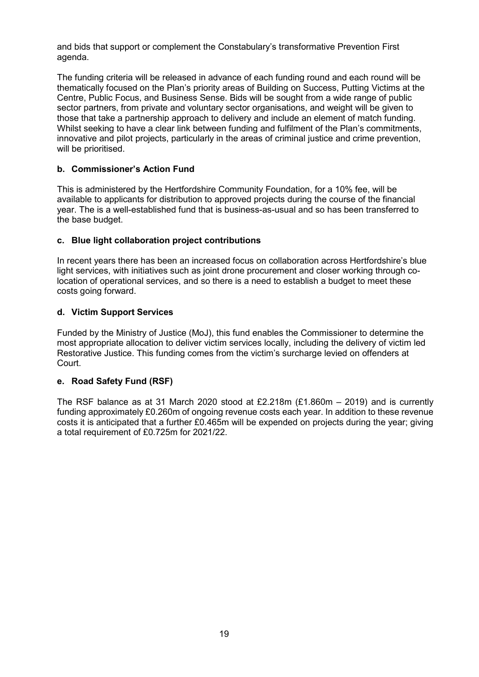and bids that support or complement the Constabulary's transformative Prevention First agenda.

The funding criteria will be released in advance of each funding round and each round will be thematically focused on the Plan's priority areas of Building on Success, Putting Victims at the Centre, Public Focus, and Business Sense. Bids will be sought from a wide range of public sector partners, from private and voluntary sector organisations, and weight will be given to those that take a partnership approach to delivery and include an element of match funding. Whilst seeking to have a clear link between funding and fulfilment of the Plan's commitments, innovative and pilot projects, particularly in the areas of criminal justice and crime prevention, will be prioritised.

#### **b. Commissioner's Action Fund**

This is administered by the Hertfordshire Community Foundation, for a 10% fee, will be available to applicants for distribution to approved projects during the course of the financial year. The is a well-established fund that is business-as-usual and so has been transferred to the base budget.

#### **c. Blue light collaboration project contributions**

In recent years there has been an increased focus on collaboration across Hertfordshire's blue light services, with initiatives such as joint drone procurement and closer working through colocation of operational services, and so there is a need to establish a budget to meet these costs going forward.

### **d. Victim Support Services**

Funded by the Ministry of Justice (MoJ), this fund enables the Commissioner to determine the most appropriate allocation to deliver victim services locally, including the delivery of victim led Restorative Justice. This funding comes from the victim's surcharge levied on offenders at Court.

#### **e. Road Safety Fund (RSF)**

The RSF balance as at 31 March 2020 stood at £2.218m (£1.860m – 2019) and is currently funding approximately £0.260m of ongoing revenue costs each year. In addition to these revenue costs it is anticipated that a further £0.465m will be expended on projects during the year; giving a total requirement of £0.725m for 2021/22.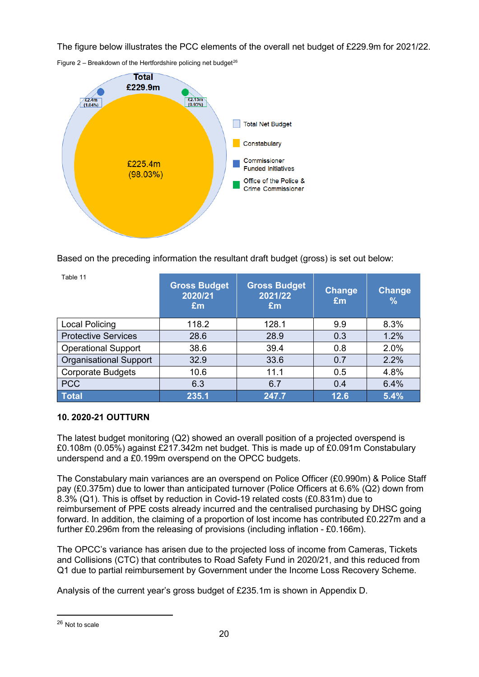The figure below illustrates the PCC elements of the overall net budget of £229.9m for 2021/22.



Figure 2 – Breakdown of the Hertfordshire policing net budget<sup>[26](#page-19-0)</sup>

Based on the preceding information the resultant draft budget (gross) is set out below:

| Table 11                      | <b>Gross Budget</b><br>2020/21<br>Em | <b>Gross Budget</b><br>2021/22<br>Em | <b>Change</b><br>£m | <b>Change</b><br>$\%$ |
|-------------------------------|--------------------------------------|--------------------------------------|---------------------|-----------------------|
| <b>Local Policing</b>         | 118.2                                | 128.1                                | 9.9                 | 8.3%                  |
| <b>Protective Services</b>    | 28.6                                 | 28.9                                 | 0.3                 | 1.2%                  |
| <b>Operational Support</b>    | 38.6                                 | 39.4                                 | 0.8                 | 2.0%                  |
| <b>Organisational Support</b> | 32.9                                 | 33.6                                 | 0.7                 | 2.2%                  |
| <b>Corporate Budgets</b>      | 10.6                                 | 11.1                                 | 0.5                 | 4.8%                  |
| <b>PCC</b>                    | 6.3                                  | 6.7                                  | 0.4                 | 6.4%                  |
| <b>Total</b>                  | 235.1                                | 247.7                                | 12.6                | 5.4%                  |

# **10. 2020-21 OUTTURN**

The latest budget monitoring (Q2) showed an overall position of a projected overspend is £0.108m (0.05%) against £217.342m net budget. This is made up of £0.091m Constabulary underspend and a £0.199m overspend on the OPCC budgets.

The Constabulary main variances are an overspend on Police Officer (£0.990m) & Police Staff pay (£0.375m) due to lower than anticipated turnover (Police Officers at 6.6% (Q2) down from 8.3% (Q1). This is offset by reduction in Covid-19 related costs (£0.831m) due to reimbursement of PPE costs already incurred and the centralised purchasing by DHSC going forward. In addition, the claiming of a proportion of lost income has contributed £0.227m and a further £0.296m from the releasing of provisions (including inflation - £0.166m).

The OPCC's variance has arisen due to the projected loss of income from Cameras, Tickets and Collisions (CTC) that contributes to Road Safety Fund in 2020/21, and this reduced from Q1 due to partial reimbursement by Government under the Income Loss Recovery Scheme.

Analysis of the current year's gross budget of £235.1m is shown in Appendix D.

<span id="page-19-0"></span><sup>26</sup> Not to scale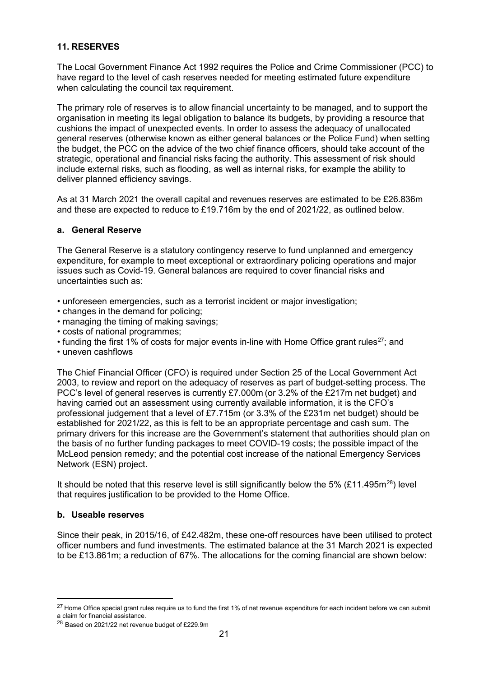# **11. RESERVES**

The Local Government Finance Act 1992 requires the Police and Crime Commissioner (PCC) to have regard to the level of cash reserves needed for meeting estimated future expenditure when calculating the council tax requirement.

The primary role of reserves is to allow financial uncertainty to be managed, and to support the organisation in meeting its legal obligation to balance its budgets, by providing a resource that cushions the impact of unexpected events. In order to assess the adequacy of unallocated general reserves (otherwise known as either general balances or the Police Fund) when setting the budget, the PCC on the advice of the two chief finance officers, should take account of the strategic, operational and financial risks facing the authority. This assessment of risk should include external risks, such as flooding, as well as internal risks, for example the ability to deliver planned efficiency savings.

As at 31 March 2021 the overall capital and revenues reserves are estimated to be £26.836m and these are expected to reduce to £19.716m by the end of 2021/22, as outlined below.

#### **a. General Reserve**

The General Reserve is a statutory contingency reserve to fund unplanned and emergency expenditure, for example to meet exceptional or extraordinary policing operations and major issues such as Covid-19. General balances are required to cover financial risks and uncertainties such as:

- unforeseen emergencies, such as a terrorist incident or major investigation;
- changes in the demand for policing;
- managing the timing of making savings;
- costs of national programmes;
- funding the first 1% of costs for major events in-line with Home Office grant rules<sup>[27](#page-20-0)</sup>; and
- uneven cashflows

The Chief Financial Officer (CFO) is required under Section 25 of the Local Government Act 2003, to review and report on the adequacy of reserves as part of budget-setting process. The PCC's level of general reserves is currently £7.000m (or 3.2% of the £217m net budget) and having carried out an assessment using currently available information, it is the CFO's professional judgement that a level of £7.715m (or 3.3% of the £231m net budget) should be established for 2021/22, as this is felt to be an appropriate percentage and cash sum. The primary drivers for this increase are the Government's statement that authorities should plan on the basis of no further funding packages to meet COVID-19 costs; the possible impact of the McLeod pension remedy; and the potential cost increase of the national Emergency Services Network (ESN) project.

It should be noted that this reserve level is still significantly below the 5% (£11.495 $m^{28}$  $m^{28}$  $m^{28}$ ) level that requires justification to be provided to the Home Office.

#### **b. Useable reserves**

<u>.</u>

Since their peak, in 2015/16, of £42.482m, these one-off resources have been utilised to protect officer numbers and fund investments. The estimated balance at the 31 March 2021 is expected to be £13.861m; a reduction of 67%. The allocations for the coming financial are shown below:

<span id="page-20-0"></span><sup>&</sup>lt;sup>27</sup> Home Office special grant rules require us to fund the first 1% of net revenue expenditure for each incident before we can submit a claim for financial assistance.

<span id="page-20-1"></span><sup>28</sup> Based on 2021/22 net revenue budget of £229.9m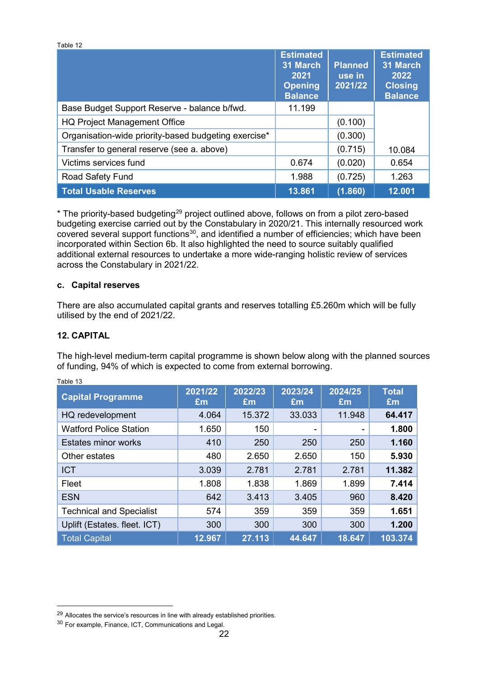|                                                      | <b>Estimated</b><br>31 March<br>2021<br><b>Opening</b><br><b>Balance</b> | <b>Planned</b><br>use in<br>2021/22 | <b>Estimated</b><br>31 March<br>2022<br><b>Closing</b><br><b>Balance</b> |
|------------------------------------------------------|--------------------------------------------------------------------------|-------------------------------------|--------------------------------------------------------------------------|
| Base Budget Support Reserve - balance b/fwd.         | 11.199                                                                   |                                     |                                                                          |
| <b>HQ Project Management Office</b>                  |                                                                          | (0.100)                             |                                                                          |
| Organisation-wide priority-based budgeting exercise* |                                                                          | (0.300)                             |                                                                          |
| Transfer to general reserve (see a. above)           |                                                                          | (0.715)                             | 10.084                                                                   |
| Victims services fund                                | 0.674                                                                    | (0.020)                             | 0.654                                                                    |
| <b>Road Safety Fund</b>                              | 1.988                                                                    | (0.725)                             | 1.263                                                                    |
| <b>Total Usable Reserves</b>                         | 13.861                                                                   | (1.860)                             | 12.001                                                                   |

 $*$  The priority-based budgeting<sup>[29](#page-21-0)</sup> project outlined above, follows on from a pilot zero-based budgeting exercise carried out by the Constabulary in 2020/21. This internally resourced work covered several support functions<sup>30</sup>, and identified a number of efficiencies; which have been incorporated within Section 6b. It also highlighted the need to source suitably qualified additional external resources to undertake a more wide-ranging holistic review of services across the Constabulary in 2021/22.

### **c. Capital reserves**

There are also accumulated capital grants and reserves totalling £5.260m which will be fully utilised by the end of 2021/22.

# **12. CAPITAL**

The high-level medium-term capital programme is shown below along with the planned sources of funding, 94% of which is expected to come from external borrowing.

| <b>Capital Programme</b>        | 2021/22<br>£m | 2022/23<br>£m | 2023/24<br>Em | 2024/25<br>£m | <b>Total</b><br>Em <sub>1</sub> |
|---------------------------------|---------------|---------------|---------------|---------------|---------------------------------|
| HQ redevelopment                | 4.064         | 15.372        | 33.033        | 11.948        | 64.417                          |
| <b>Watford Police Station</b>   | 1.650         | 150           | -             |               | 1.800                           |
| <b>Estates minor works</b>      | 410           | 250           | 250           | 250           | 1.160                           |
| Other estates                   | 480           | 2.650         | 2.650         | 150           | 5.930                           |
| <b>ICT</b>                      | 3.039         | 2.781         | 2.781         | 2.781         | 11.382                          |
| Fleet                           | 1.808         | 1.838         | 1.869         | 1.899         | 7.414                           |
| <b>ESN</b>                      | 642           | 3.413         | 3.405         | 960           | 8.420                           |
| <b>Technical and Specialist</b> | 574           | 359           | 359           | 359           | 1.651                           |
| Uplift (Estates. fleet. ICT)    | 300           | 300           | 300           | 300           | 1.200                           |
| <b>Total Capital</b>            | 12.967        | 27.113        | 44.647        | 18.647        | 103.374                         |

Table 13

-

 $T$ able 12

<span id="page-21-0"></span><sup>&</sup>lt;sup>29</sup> Allocates the service's resources in line with already established priorities.

<span id="page-21-1"></span><sup>30</sup> For example, Finance, ICT, Communications and Legal.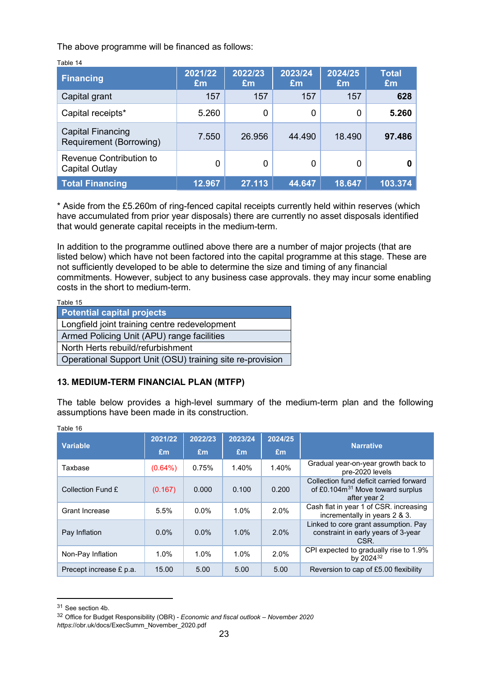The above programme will be financed as follows:

| Table 14                                            |               |               |               |               |             |
|-----------------------------------------------------|---------------|---------------|---------------|---------------|-------------|
| <b>Financing</b>                                    | 2021/22<br>Em | 2022/23<br>Em | 2023/24<br>£m | 2024/25<br>£m | Total<br>Em |
| Capital grant                                       | 157           | 157           | 157           | 157           | 628         |
| Capital receipts*                                   | 5.260         | 0             | 0             | 0             | 5.260       |
| <b>Capital Financing</b><br>Requirement (Borrowing) | 7.550         | 26.956        | 44.490        | 18.490        | 97.486      |
| Revenue Contribution to<br>Capital Outlay           | 0             | 0             | 0             | 0             | 0           |
| <b>Total Financing</b>                              | 12.967        | 27.113        | 44.647        | 18.647        | 103.374     |

\* Aside from the £5.260m of ring-fenced capital receipts currently held within reserves (which have accumulated from prior year disposals) there are currently no asset disposals identified

In addition to the programme outlined above there are a number of major projects (that are listed below) which have not been factored into the capital programme at this stage. These are not sufficiently developed to be able to determine the size and timing of any financial commitments. However, subject to any business case approvals. they may incur some enabling costs in the short to medium-term.

| Table 15                                                  |
|-----------------------------------------------------------|
| <b>Potential capital projects</b>                         |
| Longfield joint training centre redevelopment             |
| Armed Policing Unit (APU) range facilities                |
| North Herts rebuild/refurbishment                         |
| Operational Support Unit (OSU) training site re-provision |

that would generate capital receipts in the medium-term.

# **13. MEDIUM-TERM FINANCIAL PLAN (MTFP)**

The table below provides a high-level summary of the medium-term plan and the following assumptions have been made in its construction.

| <b>Variable</b>         | 2021/22<br>Em | 2022/23<br>Em | 2023/24<br>Em | 2024/25<br>Em | <b>Narrative</b>                                                                                        |
|-------------------------|---------------|---------------|---------------|---------------|---------------------------------------------------------------------------------------------------------|
| Taxbase                 | $(0.64\%)$    | 0.75%         | 1.40%         | 1.40%         | Gradual year-on-year growth back to<br>pre-2020 levels                                                  |
| Collection Fund £       | (0.167)       | 0.000         | 0.100         | 0.200         | Collection fund deficit carried forward<br>of £0.104m <sup>31</sup> Move toward surplus<br>after year 2 |
| <b>Grant Increase</b>   | 5.5%          | $0.0\%$       | 1.0%          | 2.0%          | Cash flat in year 1 of CSR. increasing<br>incrementally in years 2 & 3.                                 |
| Pay Inflation           | $0.0\%$       | $0.0\%$       | 1.0%          | 2.0%          | Linked to core grant assumption. Pay<br>constraint in early years of 3-year<br>CSR.                     |
| Non-Pay Inflation       | $1.0\%$       | $1.0\%$       | 1.0%          | 2.0%          | CPI expected to gradually rise to 1.9%<br>by 2024 <sup>32</sup>                                         |
| Precept increase £ p.a. | 15.00         | 5.00          | 5.00          | 5.00          | Reversion to cap of £5.00 flexibility                                                                   |

Table 16

<sup>&</sup>lt;u>.</u> <sup>31</sup> See section 4b.

<span id="page-22-1"></span><span id="page-22-0"></span><sup>32</sup> Office for Budget Responsibility (OBR) - *Economic and fiscal outlook – November 2020 https*://obr.uk/docs/ExecSumm\_November\_2020.pdf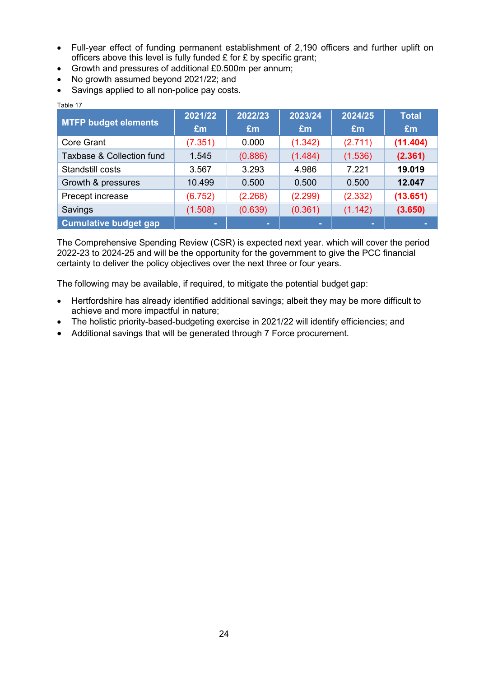- Full-year effect of funding permanent establishment of 2,190 officers and further uplift on officers above this level is fully funded £ for £ by specific grant;
- Growth and pressures of additional £0.500m per annum;
- No growth assumed beyond 2021/22; and
- Savings applied to all non-police pay costs.

| <b>MTFP budget elements</b>  | 2021/22 | 2022/23 | 2023/24 | 2024/25 | <b>Total</b> |
|------------------------------|---------|---------|---------|---------|--------------|
|                              | £m      | Em      | Em      | £m      | Em           |
| <b>Core Grant</b>            | (7.351) | 0.000   | (1.342) | (2.711) | (11.404)     |
| Taxbase & Collection fund    | 1.545   | (0.886) | (1.484) | (1.536) | (2.361)      |
| Standstill costs             | 3.567   | 3.293   | 4.986   | 7.221   | 19.019       |
| Growth & pressures           | 10.499  | 0.500   | 0.500   | 0.500   | 12.047       |
| Precept increase             | (6.752) | (2.268) | (2.299) | (2.332) | (13.651)     |
| Savings                      | (1.508) | (0.639) | (0.361) | (1.142) | (3.650)      |
| <b>Cumulative budget gap</b> | -       | -       | ш       | ш       | -            |

Table 17

The Comprehensive Spending Review (CSR) is expected next year. which will cover the period 2022-23 to 2024-25 and will be the opportunity for the government to give the PCC financial certainty to deliver the policy objectives over the next three or four years.

The following may be available, if required, to mitigate the potential budget gap:

- Hertfordshire has already identified additional savings; albeit they may be more difficult to achieve and more impactful in nature;
- The holistic priority-based-budgeting exercise in 2021/22 will identify efficiencies; and
- Additional savings that will be generated through 7 Force procurement.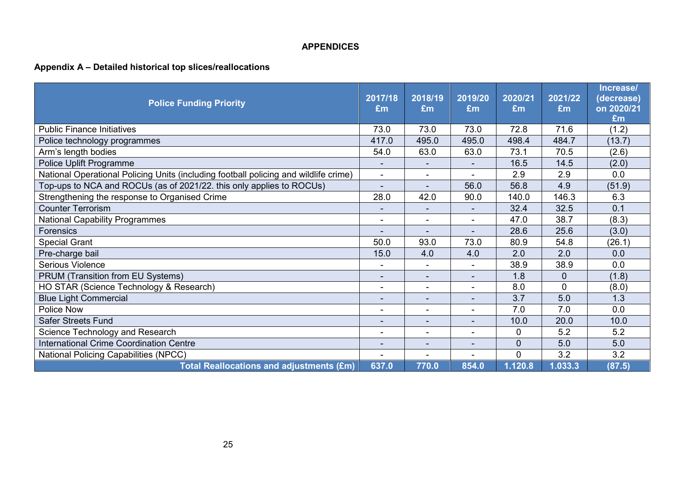# **APPENDICES**

# **Appendix A – Detailed historical top slices/reallocations**

| <b>Police Funding Priority</b>                                                       | 2017/18<br>£m  | 2018/19<br>£m | 2019/20<br>£m  | 2020/21<br>£m  | 2021/22<br>£m | Increase/<br>(decrease)<br>on 2020/21<br>£m |
|--------------------------------------------------------------------------------------|----------------|---------------|----------------|----------------|---------------|---------------------------------------------|
| <b>Public Finance Initiatives</b>                                                    | 73.0           | 73.0          | 73.0           | 72.8           | 71.6          | (1.2)                                       |
| Police technology programmes                                                         | 417.0          | 495.0         | 495.0          | 498.4          | 484.7         | (13.7)                                      |
| Arm's length bodies                                                                  | 54.0           | 63.0          | 63.0           | 73.1           | 70.5          | (2.6)                                       |
| Police Uplift Programme                                                              |                |               |                | 16.5           | 14.5          | (2.0)                                       |
| National Operational Policing Units (including football policing and wildlife crime) | $\blacksquare$ |               |                | 2.9            | 2.9           | 0.0                                         |
| Top-ups to NCA and ROCUs (as of 2021/22. this only applies to ROCUs)                 |                |               | 56.0           | 56.8           | 4.9           | (51.9)                                      |
| Strengthening the response to Organised Crime                                        | 28.0           | 42.0          | 90.0           | 140.0          | 146.3         | 6.3                                         |
| <b>Counter Terrorism</b>                                                             | ۰              |               | $\blacksquare$ | 32.4           | 32.5          | 0.1                                         |
| <b>National Capability Programmes</b>                                                | $\blacksquare$ |               | $\blacksquare$ | 47.0           | 38.7          | (8.3)                                       |
| Forensics                                                                            |                |               |                | 28.6           | 25.6          | (3.0)                                       |
| <b>Special Grant</b>                                                                 | 50.0           | 93.0          | 73.0           | 80.9           | 54.8          | (26.1)                                      |
| Pre-charge bail                                                                      | 15.0           | 4.0           | 4.0            | 2.0            | 2.0           | 0.0                                         |
| <b>Serious Violence</b>                                                              | ۰              | $\sim$        | $\blacksquare$ | 38.9           | 38.9          | 0.0                                         |
| <b>PRUM (Transition from EU Systems)</b>                                             | ۰              |               | $\sim$         | 1.8            | $\mathbf 0$   | (1.8)                                       |
| HO STAR (Science Technology & Research)                                              |                |               |                | 8.0            | $\mathbf{0}$  | (8.0)                                       |
| <b>Blue Light Commercial</b>                                                         |                |               |                | 3.7            | 5.0           | 1.3                                         |
| <b>Police Now</b>                                                                    | ۰              |               |                | 7.0            | 7.0           | 0.0                                         |
| <b>Safer Streets Fund</b>                                                            |                |               | ۰              | 10.0           | 20.0          | 10.0                                        |
| Science Technology and Research                                                      | ۰              |               | $\blacksquare$ | $\Omega$       | 5.2           | 5.2                                         |
| <b>International Crime Coordination Centre</b>                                       | ۰              |               |                | $\overline{0}$ | 5.0           | 5.0                                         |
| <b>National Policing Capabilities (NPCC)</b>                                         |                |               |                | $\overline{0}$ | 3.2           | 3.2                                         |
| Total Reallocations and adjustments (£m)                                             | 637.0          | 770.0         | 854.0          | 1.120.8        | 1.033.3       | (87.5)                                      |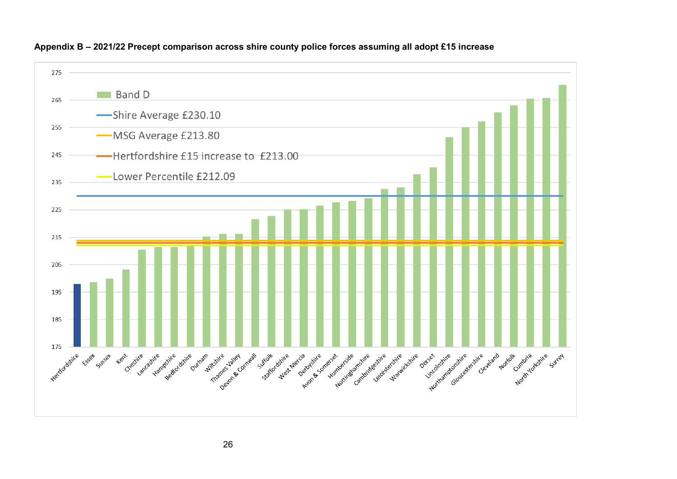

#### **Appendix B – 2021/22 Precept comparison across shire county police forces assuming all adopt £15 increase**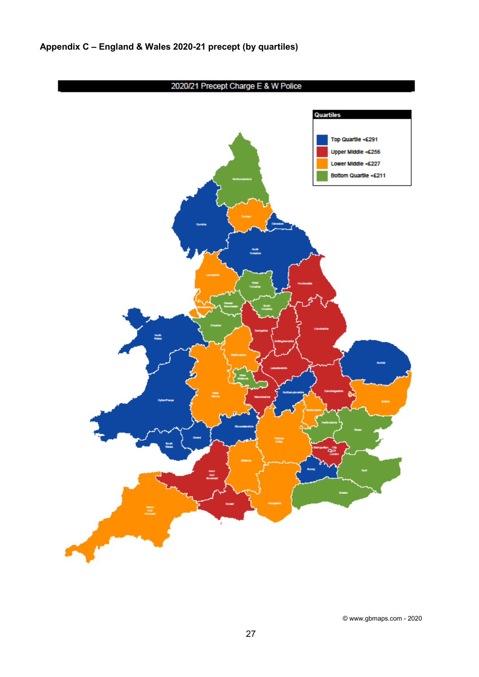

© www.gbmaps.com - 2020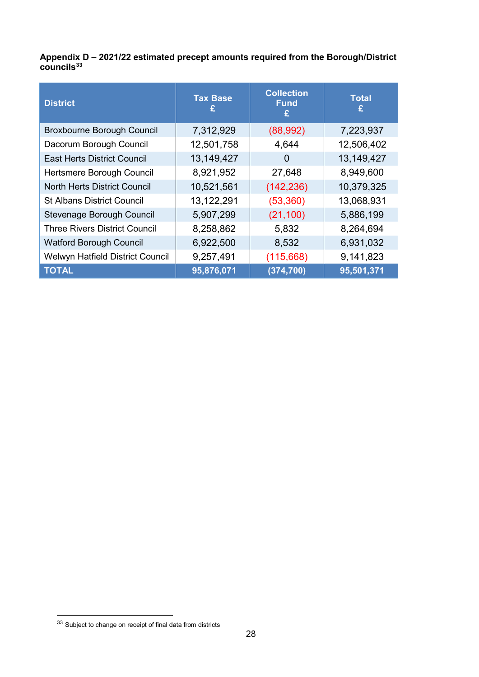| Appendix D – 2021/22 estimated precept amounts required from the Borough/District |  |  |
|-----------------------------------------------------------------------------------|--|--|
| councils <sup>33</sup>                                                            |  |  |

| <b>District</b>                      | <b>Tax Base</b><br>£ | <b>Collection</b><br><b>Fund</b><br>£ | Total<br>£ |
|--------------------------------------|----------------------|---------------------------------------|------------|
| <b>Broxbourne Borough Council</b>    | 7,312,929            | (88,992)                              | 7,223,937  |
| Dacorum Borough Council              | 12,501,758           | 4,644                                 | 12,506,402 |
| <b>East Herts District Council</b>   | 13,149,427           | O                                     | 13,149,427 |
| Hertsmere Borough Council            | 8,921,952            | 27,648                                | 8,949,600  |
| <b>North Herts District Council</b>  | 10,521,561           | (142, 236)                            | 10,379,325 |
| <b>St Albans District Council</b>    | 13,122,291           | (53, 360)                             | 13,068,931 |
| Stevenage Borough Council            | 5,907,299            | (21, 100)                             | 5,886,199  |
| <b>Three Rivers District Council</b> | 8,258,862            | 5,832                                 | 8,264,694  |
| <b>Watford Borough Council</b>       | 6,922,500            | 8,532                                 | 6,931,032  |
| Welwyn Hatfield District Council     | 9,257,491            | (115, 668)                            | 9,141,823  |
| <b>TOTAL</b>                         | 95,876,071           | (374, 700)                            | 95,501,371 |

<span id="page-27-0"></span> $33$  Subject to change on receipt of final data from districts